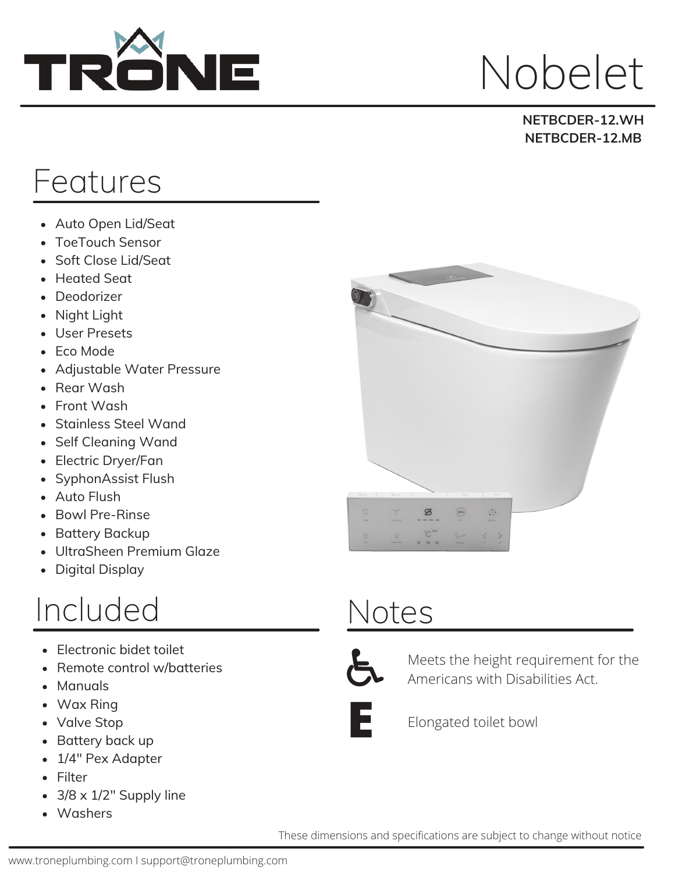

## Nobelet

#### **NETBCDER-12.WH NETBCDER-12.MB**

### Features

- Auto Open Lid/Seat
- ToeTouch Sensor  $\bullet$
- Soft Close Lid/Seat  $\bullet$
- Heated Seat
- Deodorizer
- Night Light
- User Presets
- Eco Mode
- Adjustable Water Pressure
- Rear Wash
- Front Wash
- Stainless Steel Wand
- Self Cleaning Wand
- Electric Dryer/Fan
- SyphonAssist Flush  $\bullet$
- Auto Flush
- Bowl Pre-Rinse  $\bullet$
- Battery Backup  $\bullet$
- UltraSheen Premium Glaze  $\bullet$
- Digital Display

#### Included

- Electronic bidet toilet
- Remote control w/batteries
- Manuals
- Wax Ring
- Valve Stop
- Battery back up
- 1/4" Pex Adapter
- Filter
- 3/8 x 1/2" Supply line
- Washers



### Notes



Meets the height requirement for the Americans with Disabilities Act.



Elongated toilet bowl

These dimensions and specifications are subject to change without notice